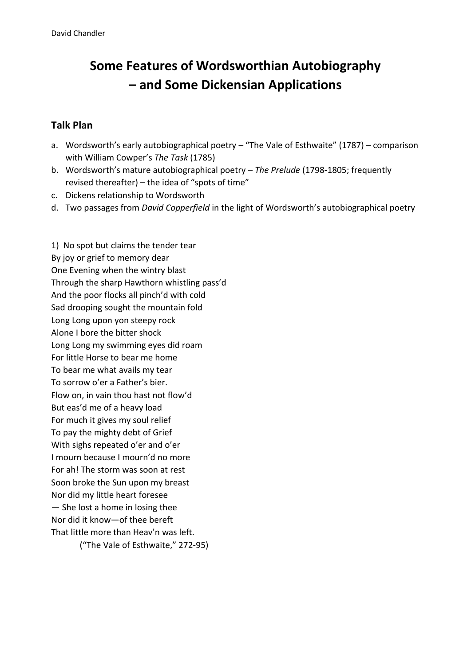## **Some Features of Wordsworthian Autobiography – and Some Dickensian Applications**

## **Talk Plan**

- a. Wordsworth's early autobiographical poetry "The Vale of Esthwaite" (1787) comparison with William Cowper's *The Task* (1785)
- b. Wordsworth's mature autobiographical poetry *The Prelude* (1798-1805; frequently revised thereafter) – the idea of "spots of time"
- c. Dickens relationship to Wordsworth
- d. Two passages from *David Copperfield* in the light of Wordsworth's autobiographical poetry

1) No spot but claims the tender tear By joy or grief to memory dear One Evening when the wintry blast Through the sharp Hawthorn whistling pass'd And the poor flocks all pinch'd with cold Sad drooping sought the mountain fold Long Long upon yon steepy rock Alone I bore the bitter shock Long Long my swimming eyes did roam For little Horse to bear me home To bear me what avails my tear To sorrow o'er a Father's bier. Flow on, in vain thou hast not flow'd But eas'd me of a heavy load For much it gives my soul relief To pay the mighty debt of Grief With sighs repeated o'er and o'er I mourn because I mourn'd no more For ah! The storm was soon at rest Soon broke the Sun upon my breast Nor did my little heart foresee — She lost a home in losing thee Nor did it know—of thee bereft That little more than Heav'n was left. ("The Vale of Esthwaite," 272-95)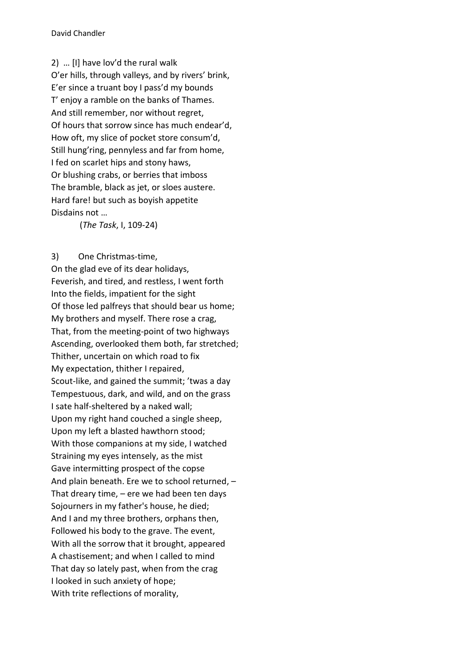2) … [I] have lov'd the rural walk O'er hills, through valleys, and by rivers' brink, E'er since a truant boy I pass'd my bounds T' enjoy a ramble on the banks of Thames. And still remember, nor without regret, Of hours that sorrow since has much endear'd, How oft, my slice of pocket store consum'd, Still hung'ring, pennyless and far from home, I fed on scarlet hips and stony haws, Or blushing crabs, or berries that imboss The bramble, black as jet, or sloes austere. Hard fare! but such as boyish appetite Disdains not …

(*The Task*, I, 109-24)

## 3) One Christmas-time,

On the glad eve of its dear holidays, Feverish, and tired, and restless, I went forth Into the fields, impatient for the sight Of those led palfreys that should bear us home; My brothers and myself. There rose a crag, That, from the meeting-point of two highways Ascending, overlooked them both, far stretched; Thither, uncertain on which road to fix My expectation, thither I repaired, Scout-like, and gained the summit; 'twas a day Tempestuous, dark, and wild, and on the grass I sate half-sheltered by a naked wall; Upon my right hand couched a single sheep, Upon my left a blasted hawthorn stood; With those companions at my side, I watched Straining my eyes intensely, as the mist Gave intermitting prospect of the copse And plain beneath. Ere we to school returned, – That dreary time,  $-$  ere we had been ten days Sojourners in my father's house, he died; And I and my three brothers, orphans then, Followed his body to the grave. The event, With all the sorrow that it brought, appeared A chastisement; and when I called to mind That day so lately past, when from the crag I looked in such anxiety of hope; With trite reflections of morality,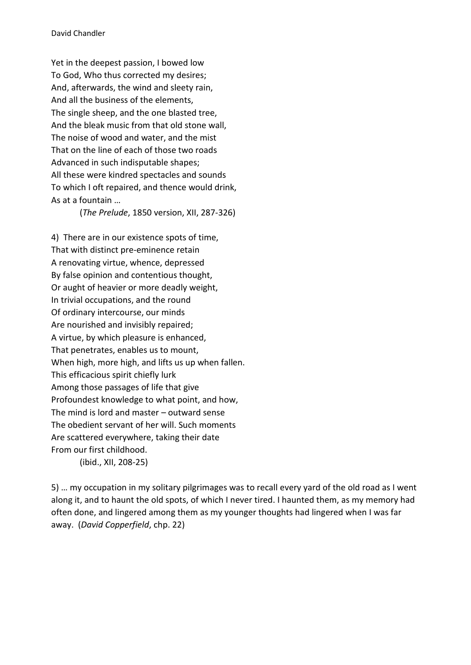Yet in the deepest passion, I bowed low To God, Who thus corrected my desires; And, afterwards, the wind and sleety rain, And all the business of the elements, The single sheep, and the one blasted tree, And the bleak music from that old stone wall, The noise of wood and water, and the mist That on the line of each of those two roads Advanced in such indisputable shapes; All these were kindred spectacles and sounds To which I oft repaired, and thence would drink, As at a fountain …

(*The Prelude*, 1850 version, XII, 287-326)

4) There are in our existence spots of time, That with distinct pre-eminence retain A renovating virtue, whence, depressed By false opinion and contentious thought, Or aught of heavier or more deadly weight, In trivial occupations, and the round Of ordinary intercourse, our minds Are nourished and invisibly repaired; A virtue, by which pleasure is enhanced, That penetrates, enables us to mount, When high, more high, and lifts us up when fallen. This efficacious spirit chiefly lurk Among those passages of life that give Profoundest knowledge to what point, and how, The mind is lord and master – outward sense The obedient servant of her will. Such moments Are scattered everywhere, taking their date From our first childhood.

(ibid., XII, 208-25)

5) … my occupation in my solitary pilgrimages was to recall every yard of the old road as I went along it, and to haunt the old spots, of which I never tired. I haunted them, as my memory had often done, and lingered among them as my younger thoughts had lingered when I was far away. (*David Copperfield*, chp. 22)